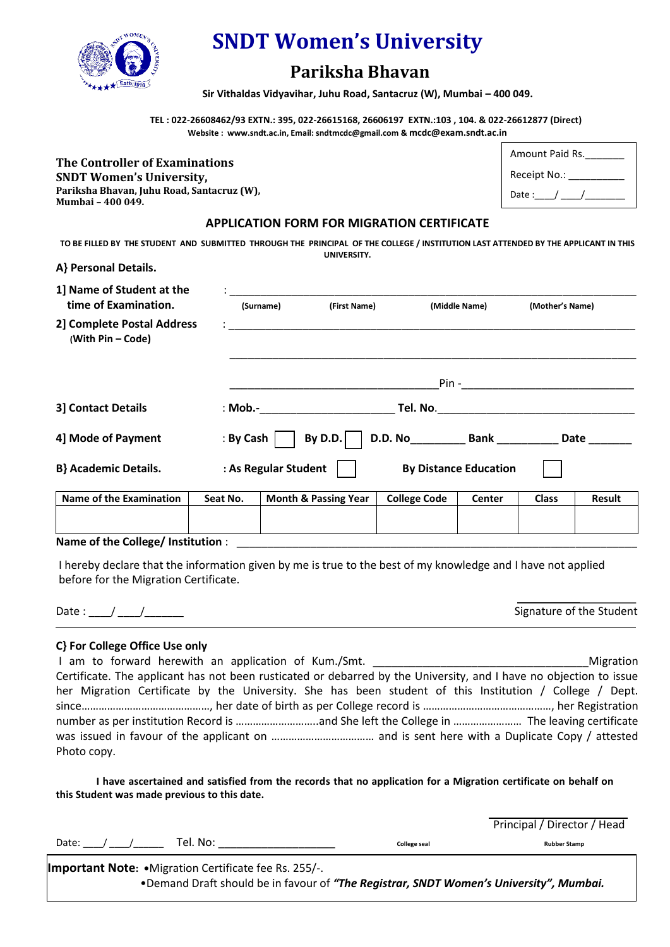

# **SNDT Women's University**

# **Pariksha Bhavan**

 **Sir Vithaldas Vidyavihar, Juhu Road, Santacruz (W), Mumbai – 400 049.**

 **TEL : 022-26608462/93 EXTN.: 395, 022-26615168, 26606197 EXTN.:103 , 104. & 022-26612877 (Direct) Website : www.sndt.ac.in, Email: sndtmcdc@gmail.com & mcdc@exam.sndt.ac.in**

**The Controller of Examinations SNDT Women's University, Pariksha Bhavan, Juhu Road, Santacruz (W), Mumbai – 400 049.** 

| Amount Paid Rs. |
|-----------------|
| Receipt No.:    |
| Date :          |

# **APPLICATION FORM FOR MIGRATION CERTIFICATE**

**TO BE FILLED BY THE STUDENT AND SUBMITTED THROUGH THE PRINCIPAL OF THE COLLEGE / INSTITUTION LAST ATTENDED BY THE APPLICANT IN THIS UNIVERSITY.**

### **A} Personal Details.**

| 1] Name of Student at the<br>time of Examination. | (Surname)            | (First Name)         | (Middle Name)                | (Mother's Name) |
|---------------------------------------------------|----------------------|----------------------|------------------------------|-----------------|
| 2] Complete Postal Address<br>(With Pin - Code)   |                      |                      |                              |                 |
|                                                   |                      |                      | $Pin -$                      |                 |
| 3] Contact Details                                | $\mathbf{S}$ Mob.-   |                      | Tel. No.                     |                 |
| 4] Mode of Payment                                | : By Cash            | By D.D.              | D.D. No Bank                 | Date            |
| <b>B</b> } Academic Details.                      | : As Regular Student |                      | <b>By Distance Education</b> |                 |
| Name of the Examination                           | Seat No.             | Month & Passing Year | College Code<br>Center       | Result<br>Class |

| Name of the Examination          | Seat No. | <b>Month &amp; Passing Year</b> | <b>College Code</b> | Center | <b>Class</b> | Result |
|----------------------------------|----------|---------------------------------|---------------------|--------|--------------|--------|
|                                  |          |                                 |                     |        |              |        |
|                                  |          |                                 |                     |        |              |        |
| Alexander Called Called Luckbook |          |                                 |                     |        |              |        |

#### Name of the College/ Institution :

I hereby declare that the information given by me is true to the best of my knowledge and I have not applied before for the Migration Certificate.

Date :  $\begin{array}{ccc} & / & / \end{array}$ 

# **C} For College Office Use only**

| I am to forward herewith an application of Kum./Smt. ___________________________                                   | Migration |
|--------------------------------------------------------------------------------------------------------------------|-----------|
| Certificate. The applicant has not been rusticated or debarred by the University, and I have no objection to issue |           |
| her Migration Certificate by the University. She has been student of this Institution / College / Dept.            |           |
|                                                                                                                    |           |
|                                                                                                                    |           |
|                                                                                                                    |           |
| Photo copy.                                                                                                        |           |

**I have ascertained and satisfied from the records that no application for a Migration certificate on behalf on this Student was made previous to this date.** 

|                                                                                        |              | Principal / Director / Head |
|----------------------------------------------------------------------------------------|--------------|-----------------------------|
| Tel. No: l<br>Date: / /                                                                | College seal | <b>Rubber Stamp</b>         |
| <b>Important Note: •</b> Migration Certificate fee Rs. 255/-.                          |              |                             |
| •Demand Draft should be in favour of "The Registrar, SNDT Women's University", Mumbai. |              |                             |